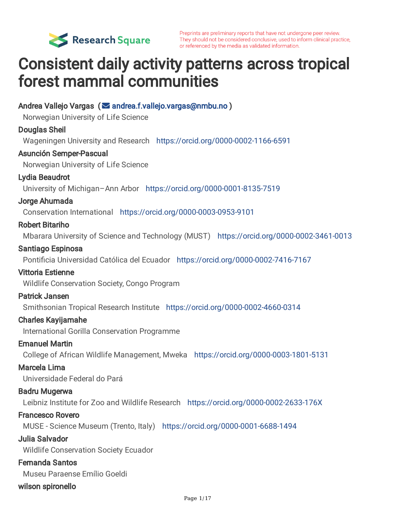

Preprints are preliminary reports that have not undergone peer review. They should not be considered conclusive, used to inform clinical practice, or referenced by the media as validated information.

# Consistent daily activity patterns across tropical forest mammal communities

Andrea Vallejo Vargas (⊠ [andrea.f.vallejo.vargas@nmbu.no](mailto:andrea.f.vallejo.vargas@nmbu.no)) Norwegian University of Life Science Douglas Sheil Wageningen University and Research <https://orcid.org/0000-0002-1166-6591> Asunción Semper-Pascual Norwegian University of Life Science Lydia Beaudrot University of Michigan–Ann Arbor <https://orcid.org/0000-0001-8135-7519> Jorge Ahumada Conservation International <https://orcid.org/0000-0003-0953-9101> Robert Bitariho Mbarara University of Science and Technology (MUST) <https://orcid.org/0000-0002-3461-0013> Santiago Espinosa Pontificia Universidad Católica del Ecuador <https://orcid.org/0000-0002-7416-7167> Vittoria Estienne Wildlife Conservation Society, Congo Program Patrick Jansen Smithsonian Tropical Research Institute <https://orcid.org/0000-0002-4660-0314> Charles Kayijamahe International Gorilla Conservation Programme Emanuel Martin College of African Wildlife Management, Mweka <https://orcid.org/0000-0003-1801-5131> Marcela Lima Universidade Federal do Pará Badru Mugerwa Leibniz Institute for Zoo and Wildlife Research <https://orcid.org/0000-0002-2633-176X> Francesco Rovero MUSE - Science Museum (Trento, Italy) <https://orcid.org/0000-0001-6688-1494> Julia Salvador Wildlife Conservation Society Ecuador Fernanda Santos Museu Paraense Emílio Goeldi wilson spironello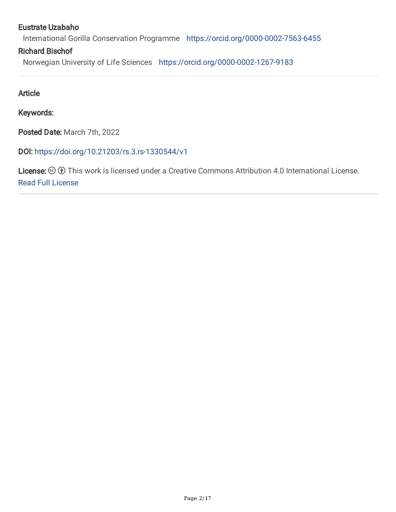#### Eustrate Uzabaho

International Gorilla Conservation Programme <https://orcid.org/0000-0002-7563-6455>

#### Richard Bischof

Norwegian University of Life Sciences <https://orcid.org/0000-0002-1267-9183>

Article

Keywords:

Posted Date: March 7th, 2022

DOI: <https://doi.org/10.21203/rs.3.rs-1330544/v1>

License:  $\circledcirc$  (i) This work is licensed under a Creative Commons Attribution 4.0 International License. Read Full [License](https://creativecommons.org/licenses/by/4.0/)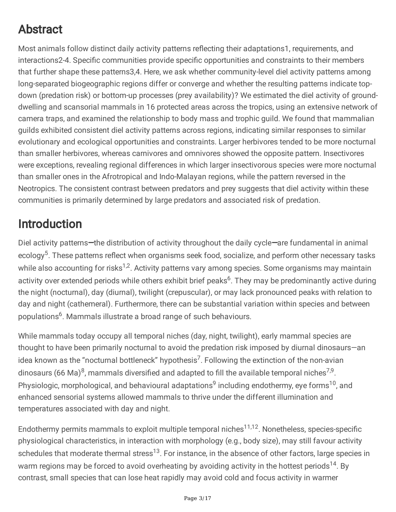# Abstract

Most animals follow distinct daily activity patterns reflecting their adaptations1, requirements, and interactions2-4. Specific communities provide specific opportunities and constraints to their members that further shape these patterns3,4. Here, we ask whether community-level diel activity patterns among long-separated biogeographic regions differ or converge and whether the resulting patterns indicate topdown (predation risk) or bottom-up processes (prey availability)? We estimated the diel activity of grounddwelling and scansorial mammals in 16 protected areas across the tropics, using an extensive network of camera traps, and examined the relationship to body mass and trophic guild. We found that mammalian guilds exhibited consistent diel activity patterns across regions, indicating similar responses to similar evolutionary and ecological opportunities and constraints. Larger herbivores tended to be more nocturnal than smaller herbivores, whereas carnivores and omnivores showed the opposite pattern. Insectivores were exceptions, revealing regional differences in which larger insectivorous species were more nocturnal than smaller ones in the Afrotropical and Indo-Malayan regions, while the pattern reversed in the Neotropics. The consistent contrast between predators and prey suggests that diel activity within these communities is primarily determined by large predators and associated risk of predation.

## Introduction

Diel activity patterns—the distribution of activity throughout the daily cycle—are fundamental in animal ecology<sup>5</sup>. These patterns reflect when organisms seek food, socialize, and perform other necessary tasks while also accounting for risks<sup>1,2</sup>. Activity patterns vary among species. Some organisms may maintain activity over extended periods while others exhibit brief peaks<sup>6</sup>. They may be predominantly active during the night (nocturnal), day (diurnal), twilight (crepuscular), or may lack pronounced peaks with relation to day and night (cathemeral). Furthermore, there can be substantial variation within species and between populations 6 . Mammals illustrate a broad range of such behaviours.

While mammals today occupy all temporal niches (day, night, twilight), early mammal species are thought to have been primarily nocturnal to avoid the predation risk imposed by diurnal dinosaurs—an idea known as the "nocturnal bottleneck" hypothesis<sup>7</sup>. Following the extinction of the non-avian dinosaurs (66 Ma)<sup>8</sup>, mammals diversified and adapted to fill the available temporal niches<sup>7,9</sup>. Physiologic, morphological, and behavioural adaptations<sup>9</sup> including endothermy, eye forms<sup>10</sup>, and enhanced sensorial systems allowed mammals to thrive under the different illumination and temperatures associated with day and night.

Endothermy permits mammals to exploit multiple temporal niches<sup>11,12</sup>. Nonetheless, species-specific physiological characteristics, in interaction with morphology (e.g., body size), may still favour activity schedules that moderate thermal stress<sup>13</sup>. For instance, in the absence of other factors, large species in warm regions may be forced to avoid overheating by avoiding activity in the hottest periods<sup>14</sup>. By contrast, small species that can lose heat rapidly may avoid cold and focus activity in warmer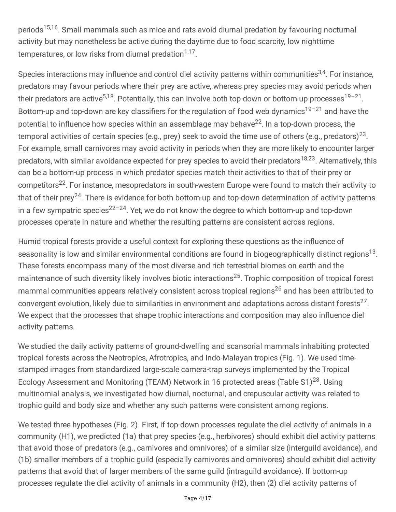periods<sup>15,16</sup>. Small mammals such as mice and rats avoid diurnal predation by favouring nocturnal activity but may nonetheless be active during the daytime due to food scarcity, low nighttime temperatures, or low risks from diurnal predation<sup>1,17</sup>.

Species interactions may influence and control diel activity patterns within communities<sup>3,4</sup>. For instance, predators may favour periods where their prey are active, whereas prey species may avoid periods when their predators are active<sup>5,18</sup>. Potentially, this can involve both top-down or bottom-up processes<sup>19-21</sup>. Bottom-up and top-down are key classifiers for the regulation of food web dynamics<sup>19-21</sup> and have the potential to influence how species within an assemblage may behave<sup>22</sup>. In a top-down process, the temporal activities of certain species (e.g., prey) seek to avoid the time use of others (e.g., predators) $^{23}$ . For example, small carnivores may avoid activity in periods when they are more likely to encounter larger predators, with similar avoidance expected for prey species to avoid their predators<sup>18,23</sup>. Alternatively, this can be a bottom-up process in which predator species match their activities to that of their prey or competitors<sup>22</sup>. For instance, mesopredators in south-western Europe were found to match their activity to that of their prey<sup>24</sup>. There is evidence for both bottom-up and top-down determination of activity patterns in a few sympatric species<sup>22-24</sup>. Yet, we do not know the degree to which bottom-up and top-down processes operate in nature and whether the resulting patterns are consistent across regions.

Humid tropical forests provide a useful context for exploring these questions as the influence of seasonality is low and similar environmental conditions are found in biogeographically distinct regions<sup>13</sup>. These forests encompass many of the most diverse and rich terrestrial biomes on earth and the maintenance of such diversity likely involves biotic interactions<sup>25</sup>. Trophic composition of tropical forest mammal communities appears relatively consistent across tropical regions <sup>26</sup> and has been attributed to convergent evolution, likely due to similarities in environment and adaptations across distant forests<sup>27</sup>. We expect that the processes that shape trophic interactions and composition may also influence diel activity patterns.

We studied the daily activity patterns of ground-dwelling and scansorial mammals inhabiting protected tropical forests across the Neotropics, Afrotropics, and Indo-Malayan tropics (Fig. 1). We used timestamped images from standardized large-scale camera-trap surveys implemented by the Tropical Ecology Assessment and Monitoring (TEAM) Network in 16 protected areas (Table S1)<sup>28</sup>. Using multinomial analysis, we investigated how diurnal, nocturnal, and crepuscular activity was related to trophic guild and body size and whether any such patterns were consistent among regions.

We tested three hypotheses (Fig. 2). First, if top-down processes regulate the diel activity of animals in a community (H1), we predicted (1a) that prey species (e.g., herbivores) should exhibit diel activity patterns that avoid those of predators (e.g., carnivores and omnivores) of a similar size (interguild avoidance), and (1b) smaller members of a trophic guild (especially carnivores and omnivores) should exhibit diel activity patterns that avoid that of larger members of the same guild (intraguild avoidance). If bottom-up processes regulate the diel activity of animals in a community (H2), then (2) diel activity patterns of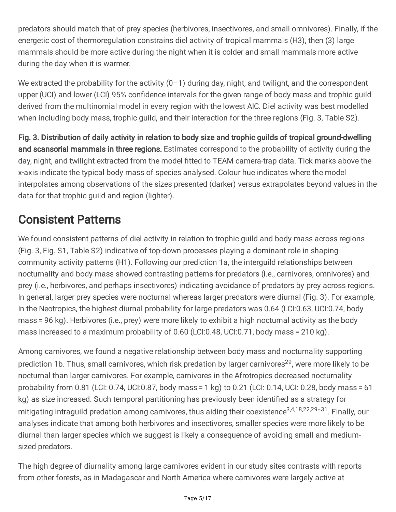predators should match that of prey species (herbivores, insectivores, and small omnivores). Finally, if the energetic cost of thermoregulation constrains diel activity of tropical mammals (H3), then (3) large mammals should be more active during the night when it is colder and small mammals more active during the day when it is warmer.

We extracted the probability for the activity  $(0-1)$  during day, night, and twilight, and the correspondent upper (UCI) and lower (LCI) 95% confidence intervals for the given range of body mass and trophic guild derived from the multinomial model in every region with the lowest AIC. Diel activity was best modelled when including body mass, trophic guild, and their interaction for the three regions (Fig. 3, Table S2).

Fig. 3. Distribution of daily activity in relation to body size and trophic guilds of tropical ground-dwelling and scansorial mammals in three regions. Estimates correspond to the probability of activity during the day, night, and twilight extracted from the model fitted to TEAM camera-trap data. Tick marks above the x-axis indicate the typical body mass of species analysed. Colour hue indicates where the model interpolates among observations of the sizes presented (darker) versus extrapolates beyond values in the data for that trophic guild and region (lighter).

### Consistent Patterns

We found consistent patterns of diel activity in relation to trophic guild and body mass across regions (Fig. 3, Fig. S1, Table S2) indicative of top-down processes playing a dominant role in shaping community activity patterns (H1). Following our prediction 1a, the interguild relationships between nocturnality and body mass showed contrasting patterns for predators (i.e., carnivores, omnivores) and prey (i.e., herbivores, and perhaps insectivores) indicating avoidance of predators by prey across regions. In general, larger prey species were nocturnal whereas larger predators were diurnal (Fig. 3). For example, In the Neotropics, the highest diurnal probability for large predators was 0.64 (LCI:0.63, UCI:0.74, body mass = 96 kg). Herbivores (i.e., prey) were more likely to exhibit a high nocturnal activity as the body mass increased to a maximum probability of 0.60 (LCI:0.48, UCI:0.71, body mass = 210 kg).

Among carnivores, we found a negative relationship between body mass and nocturnality supporting prediction 1b. Thus, small carnivores, which risk predation by larger carnivores<sup>29</sup>, were more likely to be nocturnal than larger carnivores. For example, carnivores in the Afrotropics decreased nocturnality probability from 0.81 (LCI: 0.74, UCI:0.87, body mass = 1 kg) to 0.21 (LCI: 0.14, UCI: 0.28, body mass = 61 kg) as size increased. Such temporal partitioning has previously been identified as a strategy for mitigating intraguild predation among carnivores, thus aiding their coexistence<sup>3,4,18,22,29-31</sup>. Finally, our analyses indicate that among both herbivores and insectivores, smaller species were more likely to be diurnal than larger species which we suggest is likely a consequence of avoiding small and mediumsized predators.

The high degree of diurnality among large carnivores evident in our study sites contrasts with reports from other forests, as in Madagascar and North America where carnivores were largely active at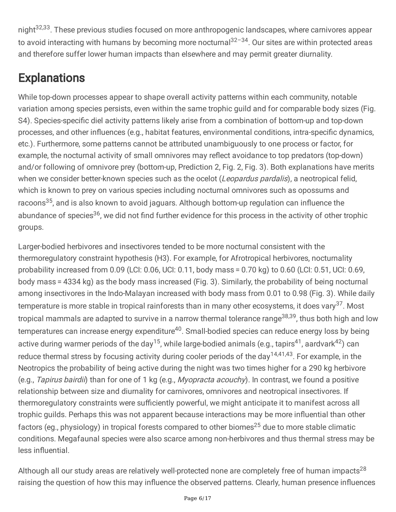night 32,33 . These previous studies focused on more anthropogenic landscapes, where carnivores appear to avoid interacting with humans by becoming more nocturnal<sup>32-34</sup>. Our sites are within protected areas and therefore suffer lower human impacts than elsewhere and may permit greater diurnality.

# **Explanations**

While top-down processes appear to shape overall activity patterns within each community, notable variation among species persists, even within the same trophic guild and for comparable body sizes (Fig. S4). Species-specific diel activity patterns likely arise from a combination of bottom-up and top-down processes, and other influences (e.g., habitat features, environmental conditions, intra-specific dynamics, etc.). Furthermore, some patterns cannot be attributed unambiguously to one process or factor, for example, the nocturnal activity of small omnivores may reflect avoidance to top predators (top-down) and/or following of omnivore prey (bottom-up, Prediction 2, Fig. 2, Fig. 3). Both explanations have merits when we consider better-known species such as the ocelot (Leopardus pardalis), a neotropical felid, which is known to prey on various species including nocturnal omnivores such as opossums and racoons<sup>35</sup>, and is also known to avoid jaguars. Although bottom-up regulation can influence the abundance of species<sup>36</sup>, we did not find further evidence for this process in the activity of other trophic groups.

Larger-bodied herbivores and insectivores tended to be more nocturnal consistent with the thermoregulatory constraint hypothesis (H3). For example, for Afrotropical herbivores, nocturnality probability increased from 0.09 (LCI: 0.06, UCI: 0.11, body mass = 0.70 kg) to 0.60 (LCI: 0.51, UCI: 0.69, body mass = 4334 kg) as the body mass increased (Fig. 3). Similarly, the probability of being nocturnal among insectivores in the Indo-Malayan increased with body mass from 0.01 to 0.98 (Fig. 3). While daily temperature is more stable in tropical rainforests than in many other ecosystems, it does vary<sup>37</sup>. Most tropical mammals are adapted to survive in a narrow thermal tolerance range<sup>38,39</sup>, thus both high and low temperatures can increase energy expenditure<sup>40</sup>. Small-bodied species can reduce energy loss by being active during warmer periods of the day<sup>15</sup>, while large-bodied animals (e.g., tapirs<sup>41</sup>, aardvark<sup>42</sup>) can reduce thermal stress by focusing activity during cooler periods of the day<sup>14,41,43</sup>. For example, in the Neotropics the probability of being active during the night was two times higher for a 290 kg herbivore (e.g., Tapirus bairdii) than for one of 1 kg (e.g., Myopracta acouchy). In contrast, we found a positive relationship between size and diurnality for carnivores, omnivores and neotropical insectivores. If thermoregulatory constraints were sufficiently powerful, we might anticipate it to manifest across all trophic guilds. Perhaps this was not apparent because interactions may be more influential than other factors (eg., physiology) in tropical forests compared to other biomes $^{25}$  due to more stable climatic conditions. Megafaunal species were also scarce among non-herbivores and thus thermal stress may be less influential.

Although all our study areas are relatively well-protected none are completely free of human impacts<sup>28</sup> raising the question of how this may influence the observed patterns. Clearly, human presence influences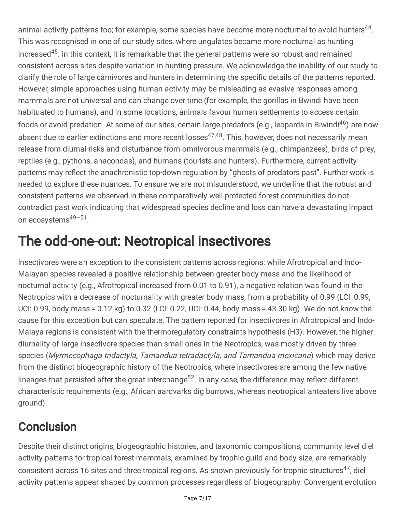animal activity patterns too; for example, some species have become more nocturnal to avoid hunters<sup>44</sup>. This was recognised in one of our study sites, where ungulates became more nocturnal as hunting increased<sup>45</sup>. In this context, it is remarkable that the general patterns were so robust and remained consistent across sites despite variation in hunting pressure. We acknowledge the inability of our study to clarify the role of large carnivores and hunters in determining the specific details of the patterns reported. However, simple approaches using human activity may be misleading as evasive responses among mammals are not universal and can change over time (for example, the gorillas in Bwindi have been habituated to humans), and in some locations, animals favour human settlements to access certain foods or avoid predation. At some of our sites, certain large predators (e.g., leopards in Biwindi<sup>46</sup>) are now absent due to earlier extinctions and more recent losses<sup>47,48</sup>. This, however, does not necessarily mean release from diurnal risks and disturbance from omnivorous mammals (e.g., chimpanzees), birds of prey, reptiles (e.g., pythons, anacondas), and humans (tourists and hunters). Furthermore, current activity patterns may reflect the anachronistic top-down regulation by "ghosts of predators past". Further work is needed to explore these nuances. To ensure we are not misunderstood, we underline that the robust and consistent patterns we observed in these comparatively well protected forest communities do not contradict past work indicating that widespread species decline and loss can have a devastating impact on ecosystems<sup>49-51</sup>.

# The odd-one-out: Neotropical insectivores

Insectivores were an exception to the consistent patterns across regions: while Afrotropical and Indo-Malayan species revealed a positive relationship between greater body mass and the likelihood of nocturnal activity (e.g., Afrotropical increased from 0.01 to 0.91), a negative relation was found in the Neotropics with a decrease of nocturnality with greater body mass, from a probability of 0.99 (LCI: 0.99, UCI: 0.99, body mass = 0.12 kg) to 0.32 (LCI: 0.22, UCI: 0.44, body mass = 43.30 kg). We do not know the cause for this exception but can speculate. The pattern reported for insectivores in Afrotropical and Indo-Malaya regions is consistent with the thermoregulatory constraints hypothesis (H3). However, the higher diurnality of large insectivore species than small ones in the Neotropics, was mostly driven by three species (Myrmecophaga tridactyla, Tamandua tetradactyla, and Tamandua mexicana) which may derive from the distinct biogeographic history of the Neotropics, where insectivores are among the few native lineages that persisted after the great interchange<sup>52</sup>. In any case, the difference may reflect different characteristic requirements (e.g., African aardvarks dig burrows, whereas neotropical anteaters live above ground).

## **Conclusion**

Despite their distinct origins, biogeographic histories, and taxonomic compositions, community level diel activity patterns for tropical forest mammals, examined by trophic guild and body size, are remarkably consistent across 16 sites and three tropical regions. As shown previously for trophic structures<sup>47</sup>, diel activity patterns appear shaped by common processes regardless of biogeography. Convergent evolution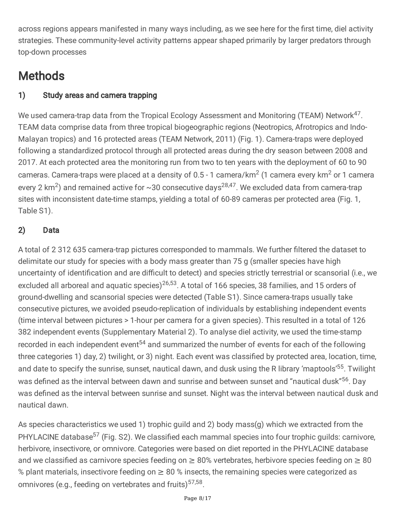across regions appears manifested in many ways including, as we see here for the first time, diel activity strategies. These community-level activity patterns appear shaped primarily by larger predators through top-down processes

# **Methods**

### 1) Study areas and camera trapping

We used camera-trap data from the Tropical Ecology Assessment and Monitoring (TEAM) Network<sup>47</sup>. TEAM data comprise data from three tropical biogeographic regions (Neotropics, Afrotropics and Indo-Malayan tropics) and 16 protected areas (TEAM Network, 2011) (Fig. 1). Camera-traps were deployed following a standardized protocol through all protected areas during the dry season between 2008 and 2017. At each protected area the monitoring run from two to ten years with the deployment of 60 to 90 cameras. Camera-traps were placed at a density of 0.5 - 1 camera/km<sup>2</sup> (1 camera every km<sup>2</sup> or 1 camera every 2 km<sup>2</sup>) and remained active for ~30 consecutive days<sup>28,47</sup>. We excluded data from camera-trap sites with inconsistent date-time stamps, yielding a total of 60-89 cameras per protected area (Fig. 1, Table S1).

### 2) Data

A total of 2 312 635 camera-trap pictures corresponded to mammals. We further filtered the dataset to delimitate our study for species with a body mass greater than 75 g (smaller species have high uncertainty of identification and are difficult to detect) and species strictly terrestrial or scansorial (i.e., we excluded all arboreal and aquatic species)<sup>26,53</sup>. A total of 166 species, 38 families, and 15 orders of ground-dwelling and scansorial species were detected (Table S1). Since camera-traps usually take consecutive pictures, we avoided pseudo-replication of individuals by establishing independent events (time interval between pictures > 1-hour per camera for a given species). This resulted in a total of 126 382 independent events (Supplementary Material 2). To analyse diel activity, we used the time-stamp recorded in each independent event<sup>54</sup> and summarized the number of events for each of the following three categories 1) day, 2) twilight, or 3) night. Each event was classified by protected area, location, time, and date to specify the sunrise, sunset, nautical dawn, and dusk using the R library 'maptools'<sup>55</sup>. Twilight was defined as the interval between dawn and sunrise and between sunset and "nautical dusk"<sup>56</sup>. Day was defined as the interval between sunrise and sunset. Night was the interval between nautical dusk and nautical dawn.

As species characteristics we used 1) trophic guild and 2) body mass(g) which we extracted from the PHYLACINE database<sup>57</sup> (Fig. S2). We classified each mammal species into four trophic guilds: carnivore, herbivore, insectivore, or omnivore. Categories were based on diet reported in the PHYLACINE database and we classified as carnivore species feeding on  $\geq 80\%$  vertebrates, herbivore species feeding on  $\geq 80$ % plant materials, insectivore feeding on  $\geq 80$  % insects, the remaining species were categorized as omnivores (e.g., feeding on vertebrates and fruits)<sup>57,58</sup>.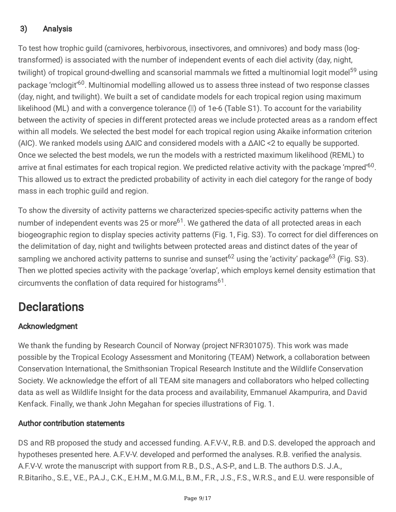### 3) Analysis

To test how trophic guild (carnivores, herbivorous, insectivores, and omnivores) and body mass (logtransformed) is associated with the number of independent events of each diel activity (day, night, twilight) of tropical ground-dwelling and scansorial mammals we fitted a multinomial logit model<sup>59</sup> using package 'mclogit'<sup>60</sup>. Multinomial modelling allowed us to assess three instead of two response classes (day, night, and twilight). We built a set of candidate models for each tropical region using maximum likelihood (ML) and with a convergence tolerance (X) of 1e-6 (Table S1). To account for the variability between the activity of species in different protected areas we include protected areas as a random effect within all models. We selected the best model for each tropical region using Akaike information criterion (AIC). We ranked models using ΔAIC and considered models with a ΔAIC <2 to equally be supported. Once we selected the best models, we run the models with a restricted maximum likelihood (REML) to arrive at final estimates for each tropical region. We predicted relative activity with the package 'mpred'<sup>60</sup>. This allowed us to extract the predicted probability of activity in each diel category for the range of body mass in each trophic guild and region.

To show the diversity of activity patterns we characterized species-specific activity patterns when the number of independent events was 25 or more<sup>61</sup>. We gathered the data of all protected areas in each biogeographic region to display species activity patterns (Fig. 1, Fig. S3). To correct for diel differences on the delimitation of day, night and twilights between protected areas and distinct dates of the year of sampling we anchored activity patterns to sunrise and sunset<sup>62</sup> using the 'activity' package<sup>63</sup> (Fig. S3). Then we plotted species activity with the package 'overlap', which employs kernel density estimation that circumvents the conflation of data required for histograms<sup>61</sup>.

## **Declarations**

### Acknowledgment

We thank the funding by Research Council of Norway (project NFR301075). This work was made possible by the Tropical Ecology Assessment and Monitoring (TEAM) Network, a collaboration between Conservation International, the Smithsonian Tropical Research Institute and the Wildlife Conservation Society. We acknowledge the effort of all TEAM site managers and collaborators who helped collecting data as well as Wildlife Insight for the data process and availability, Emmanuel Akampurira, and David Kenfack. Finally, we thank John Megahan for species illustrations of Fig. 1.

### Author contribution statements

DS and RB proposed the study and accessed funding. A.F.V-V., R.B. and D.S. developed the approach and hypotheses presented here. A.F.V-V. developed and performed the analyses. R.B. verified the analysis. A.F.V-V. wrote the manuscript with support from R.B., D.S., A.S-P., and L.B. The authors D.S. J.A., R.Bitariho., S.E., V.E., P.A.J., C.K., E.H.M., M.G.M.L, B.M., F.R., J.S., F.S., W.R.S., and E.U. were responsible of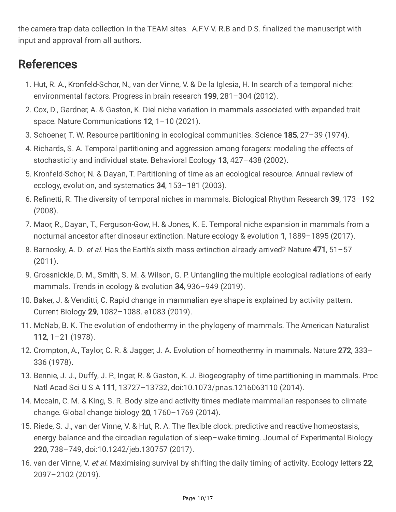the camera trap data collection in the TEAM sites. A.F.V-V. R.B and D.S. finalized the manuscript with input and approval from all authors.

### References

- 1. Hut, R. A., Kronfeld-Schor, N., van der Vinne, V. & De la Iglesia, H. In search of a temporal niche: environmental factors. Progress in brain research 199, 281–304 (2012).
- 2. Cox, D., Gardner, A. & Gaston, K. Diel niche variation in mammals associated with expanded trait space. Nature Communications 12, 1-10 (2021).
- 3. Schoener, T. W. Resource partitioning in ecological communities. Science 185, 27–39 (1974).
- 4. Richards, S. A. Temporal partitioning and aggression among foragers: modeling the effects of stochasticity and individual state. Behavioral Ecology 13, 427-438 (2002).
- 5. Kronfeld-Schor, N. & Dayan, T. Partitioning of time as an ecological resource. Annual review of ecology, evolution, and systematics 34, 153–181 (2003).
- 6. Refinetti, R. The diversity of temporal niches in mammals. Biological Rhythm Research 39, 173–192 (2008).
- 7. Maor, R., Dayan, T., Ferguson-Gow, H. & Jones, K. E. Temporal niche expansion in mammals from a nocturnal ancestor after dinosaur extinction. Nature ecology & evolution 1, 1889–1895 (2017).
- 8. Barnosky, A. D. et al. Has the Earth's sixth mass extinction already arrived? Nature 471, 51-57 (2011).
- 9. Grossnickle, D. M., Smith, S. M. & Wilson, G. P. Untangling the multiple ecological radiations of early mammals. Trends in ecology & evolution 34, 936–949 (2019).
- 10. Baker, J. & Venditti, C. Rapid change in mammalian eye shape is explained by activity pattern. Current Biology 29, 1082–1088. e1083 (2019).
- 11. McNab, B. K. The evolution of endothermy in the phylogeny of mammals. The American Naturalist 112, 1–21 (1978).
- 12. Crompton, A., Taylor, C. R. & Jagger, J. A. Evolution of homeothermy in mammals. Nature 272, 333– 336 (1978).
- 13. Bennie, J. J., Duffy, J. P., Inger, R. & Gaston, K. J. Biogeography of time partitioning in mammals. Proc Natl Acad Sci U S A 111, 13727–13732, doi:10.1073/pnas.1216063110 (2014).
- 14. Mccain, C. M. & King, S. R. Body size and activity times mediate mammalian responses to climate change. Global change biology 20, 1760–1769 (2014).
- 15. Riede, S. J., van der Vinne, V. & Hut, R. A. The flexible clock: predictive and reactive homeostasis, energy balance and the circadian regulation of sleep–wake timing. Journal of Experimental Biology 220, 738–749, doi:10.1242/jeb.130757 (2017).
- 16. van der Vinne, V. et al. Maximising survival by shifting the daily timing of activity. Ecology letters 22, 2097–2102 (2019).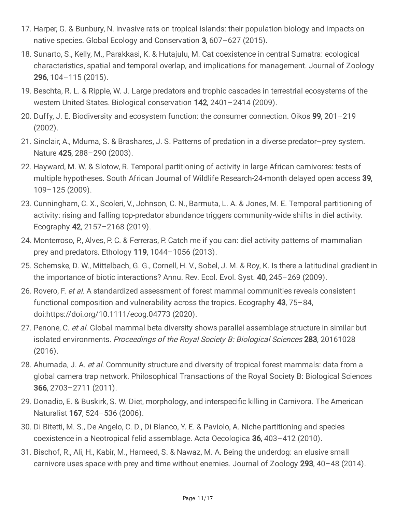- 17. Harper, G. & Bunbury, N. Invasive rats on tropical islands: their population biology and impacts on native species. Global Ecology and Conservation 3, 607–627 (2015).
- 18. Sunarto, S., Kelly, M., Parakkasi, K. & Hutajulu, M. Cat coexistence in central Sumatra: ecological characteristics, spatial and temporal overlap, and implications for management. Journal of Zoology 296, 104–115 (2015).
- 19. Beschta, R. L. & Ripple, W. J. Large predators and trophic cascades in terrestrial ecosystems of the western United States. Biological conservation 142, 2401–2414 (2009).
- 20. Duffy, J. E. Biodiversity and ecosystem function: the consumer connection. Oikos 99, 201–219 (2002).
- 21. Sinclair, A., Mduma, S. & Brashares, J. S. Patterns of predation in a diverse predator–prey system. Nature 425, 288–290 (2003).
- 22. Hayward, M. W. & Slotow, R. Temporal partitioning of activity in large African carnivores: tests of multiple hypotheses. South African Journal of Wildlife Research-24-month delayed open access 39, 109–125 (2009).
- 23. Cunningham, C. X., Scoleri, V., Johnson, C. N., Barmuta, L. A. & Jones, M. E. Temporal partitioning of activity: rising and falling top-predator abundance triggers community‐wide shifts in diel activity. Ecography 42, 2157–2168 (2019).
- 24. Monterroso, P., Alves, P. C. & Ferreras, P. Catch me if you can: diel activity patterns of mammalian prey and predators. Ethology 119, 1044–1056 (2013).
- 25. Schemske, D. W., Mittelbach, G. G., Cornell, H. V., Sobel, J. M. & Roy, K. Is there a latitudinal gradient in the importance of biotic interactions? Annu. Rev. Ecol. Evol. Syst. 40, 245–269 (2009).
- 26. Rovero, F. et al. A standardized assessment of forest mammal communities reveals consistent functional composition and vulnerability across the tropics. Ecography 43, 75–84, doi:https://doi.org/10.1111/ecog.04773 (2020).
- 27. Penone, C. et al. Global mammal beta diversity shows parallel assemblage structure in similar but isolated environments. Proceedings of the Royal Society B: Biological Sciences 283, 20161028 (2016).
- 28. Ahumada, J. A. et al. Community structure and diversity of tropical forest mammals: data from a global camera trap network. Philosophical Transactions of the Royal Society B: Biological Sciences 366, 2703–2711 (2011).
- 29. Donadio, E. & Buskirk, S. W. Diet, morphology, and interspecific killing in Carnivora. The American Naturalist 167, 524–536 (2006).
- 30. Di Bitetti, M. S., De Angelo, C. D., Di Blanco, Y. E. & Paviolo, A. Niche partitioning and species coexistence in a Neotropical felid assemblage. Acta Oecologica 36, 403–412 (2010).
- 31. Bischof, R., Ali, H., Kabir, M., Hameed, S. & Nawaz, M. A. Being the underdog: an elusive small carnivore uses space with prey and time without enemies. Journal of Zoology 293, 40–48 (2014).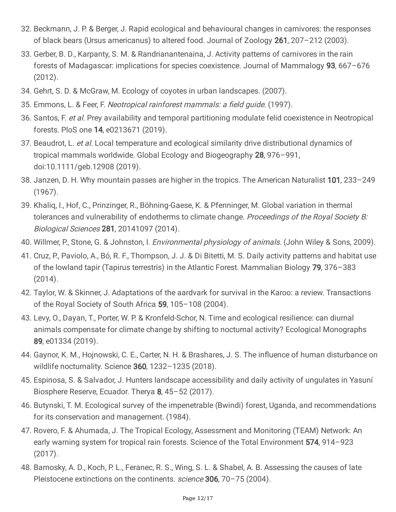- 32. Beckmann, J. P. & Berger, J. Rapid ecological and behavioural changes in carnivores: the responses of black bears (Ursus americanus) to altered food. Journal of Zoology 261, 207–212 (2003).
- 33. Gerber, B. D., Karpanty, S. M. & Randrianantenaina, J. Activity patterns of carnivores in the rain forests of Madagascar: implications for species coexistence. Journal of Mammalogy 93, 667–676 (2012).
- 34. Gehrt, S. D. & McGraw, M. Ecology of coyotes in urban landscapes. (2007).
- 35. Emmons, L. & Feer, F. Neotropical rainforest mammals: <sup>a</sup> field guide. (1997).
- 36. Santos, F. et al. Prey availability and temporal partitioning modulate felid coexistence in Neotropical forests. PloS one 14, e0213671 (2019).
- 37. Beaudrot, L. et al. Local temperature and ecological similarity drive distributional dynamics of tropical mammals worldwide. Global Ecology and Biogeography 28, 976–991, doi:10.1111/geb.12908 (2019).
- 38. Janzen, D. H. Why mountain passes are higher in the tropics. The American Naturalist 101, 233–249 (1967).
- 39. Khaliq, I., Hof, C., Prinzinger, R., Böhning-Gaese, K. & Pfenninger, M. Global variation in thermal tolerances and vulnerability of endotherms to climate change. Proceedings of the Royal Society B: Biological Sciences 281, 20141097 (2014).
- 40. Willmer, P., Stone, G. & Johnston, I. *Environmental physiology of animals*. (John Wiley & Sons, 2009).
- 41. Cruz, P., Paviolo, A., Bó, R. F., Thompson, J. J. & Di Bitetti, M. S. Daily activity patterns and habitat use of the lowland tapir (Tapirus terrestris) in the Atlantic Forest. Mammalian Biology 79, 376–383 (2014).
- 42. Taylor, W. & Skinner, J. Adaptations of the aardvark for survival in the Karoo: a review. Transactions of the Royal Society of South Africa 59, 105–108 (2004).
- 43. Levy, O., Dayan, T., Porter, W. P. & Kronfeld-Schor, N. Time and ecological resilience: can diurnal animals compensate for climate change by shifting to nocturnal activity? Ecological Monographs 89, e01334 (2019).
- 44. Gaynor, K. M., Hojnowski, C. E., Carter, N. H. & Brashares, J. S. The influence of human disturbance on wildlife nocturnality. Science 360, 1232–1235 (2018).
- 45. Espinosa, S. & Salvador, J. Hunters landscape accessibility and daily activity of ungulates in Yasuní Biosphere Reserve, Ecuador. Therya 8, 45-52 (2017).
- 46. Butynski, T. M. Ecological survey of the impenetrable (Bwindi) forest, Uganda, and recommendations for its conservation and management. (1984).
- 47. Rovero, F. & Ahumada, J. The Tropical Ecology, Assessment and Monitoring (TEAM) Network: An early warning system for tropical rain forests. Science of the Total Environment 574, 914-923 (2017).
- 48. Barnosky, A. D., Koch, P. L., Feranec, R. S., Wing, S. L. & Shabel, A. B. Assessing the causes of late Pleistocene extinctions on the continents. *science* 306, 70-75 (2004).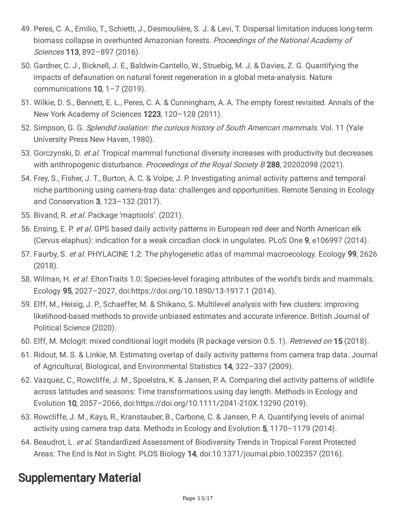- 49. Peres, C. A., Emilio, T., Schietti, J., Desmoulière, S. J. & Levi, T. Dispersal limitation induces long-term biomass collapse in overhunted Amazonian forests. Proceedings of the National Academy of Sciences 113, 892–897 (2016).
- 50. Gardner, C. J., Bicknell, J. E., Baldwin-Cantello, W., Struebig, M. J. & Davies, Z. G. Quantifying the impacts of defaunation on natural forest regeneration in a global meta-analysis. Nature communications  $10$ ,  $1 - 7$  (2019).
- 51. Wilkie, D. S., Bennett, E. L., Peres, C. A. & Cunningham, A. A. The empty forest revisited. Annals of the New York Academy of Sciences 1223, 120–128 (2011).
- 52. Simpson, G. G. Splendid isolation: the curious history of South American mammals. Vol. 11 (Yale University Press New Haven, 1980).
- 53. Gorczynski, D. et al. Tropical mammal functional diversity increases with productivity but decreases with anthropogenic disturbance. Proceedings of the Royal Society B 288, 20202098 (2021).
- 54. Frey, S., Fisher, J. T., Burton, A. C. & Volpe, J. P. Investigating animal activity patterns and temporal niche partitioning using camera-trap data: challenges and opportunities. Remote Sensing in Ecology and Conservation 3, 123–132 (2017).
- 55. Bivand, R. et al. Package 'maptools'. (2021).
- 56. Ensing, E. P. et al. GPS based daily activity patterns in European red deer and North American elk (Cervus elaphus): indication for a weak circadian clock in ungulates. PLoS One 9, e106997 (2014).
- 57. Faurby, S. et al. PHYLACINE 1.2: The phylogenetic atlas of mammal macroecology. Ecology 99, 2626 (2018).
- 58. Wilman, H. et al. EltonTraits 1.0: Species-level foraging attributes of the world's birds and mammals. Ecology 95, 2027–2027, doi:https://doi.org/10.1890/13-1917.1 (2014).
- 59. Elff, M., Heisig, J. P., Schaeffer, M. & Shikano, S. Multilevel analysis with few clusters: improving likelihood-based methods to provide unbiased estimates and accurate inference. British Journal of Political Science (2020).
- 60. Elff, M. Mclogit: mixed conditional logit models (R package version 0.5. 1). Retrieved on 15 (2018).
- 61. Ridout, M. S. & Linkie, M. Estimating overlap of daily activity patterns from camera trap data. Journal of Agricultural, Biological, and Environmental Statistics 14, 322–337 (2009).
- 62. Vazquez, C., Rowcliffe, J. M., Spoelstra, K. & Jansen, P. A. Comparing diel activity patterns of wildlife across latitudes and seasons: Time transformations using day length. Methods in Ecology and Evolution 10, 2057–2066, doi:https://doi.org/10.1111/2041-210X.13290 (2019).
- 63. Rowcliffe, J. M., Kays, R., Kranstauber, B., Carbone, C. & Jansen, P. A. Quantifying levels of animal activity using camera trap data. Methods in Ecology and Evolution 5, 1170–1179 (2014).
- 64. Beaudrot, L. et al. Standardized Assessment of Biodiversity Trends in Tropical Forest Protected Areas: The End Is Not in Sight. PLOS Biology 14, doi:10.1371/journal.pbio.1002357 (2016).

### Supplementary Material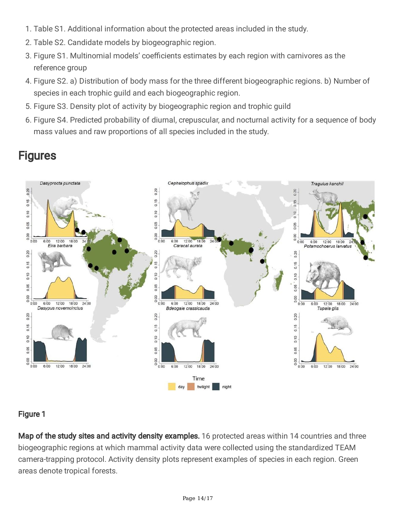- 1. Table S1. Additional information about the protected areas included in the study.
- 2. Table S2. Candidate models by biogeographic region.
- 3. Figure S1. Multinomial models' coefficients estimates by each region with carnivores as the reference group
- 4. Figure S2. a) Distribution of body mass for the three different biogeographic regions. b) Number of species in each trophic guild and each biogeographic region.
- 5. Figure S3. Density plot of activity by biogeographic region and trophic guild
- 6. Figure S4. Predicted probability of diurnal, crepuscular, and nocturnal activity for a sequence of body mass values and raw proportions of all species included in the study.



### **Figures**

#### Figure 1

Map of the study sites and activity density examples. 16 protected areas within 14 countries and three biogeographic regions at which mammal activity data were collected using the standardized TEAM camera-trapping protocol. Activity density plots represent examples of species in each region. Green areas denote tropical forests.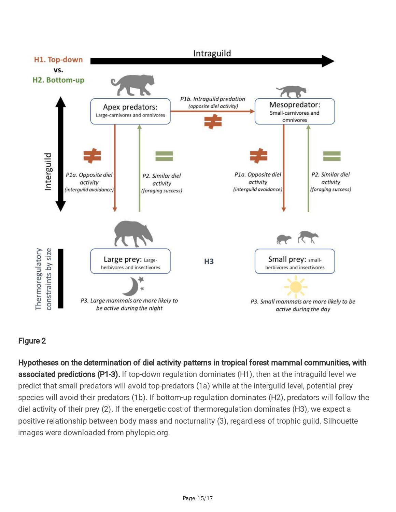

### Figure 2

Hypotheses on the determination of diel activity patterns in tropical forest mammal communities, with associated predictions (P1-3). If top-down regulation dominates (H1), then at the intraguild level we predict that small predators will avoid top-predators (1a) while at the interguild level, potential prey species will avoid their predators (1b). If bottom-up regulation dominates (H2), predators will follow the diel activity of their prey (2). If the energetic cost of thermoregulation dominates (H3), we expect a positive relationship between body mass and nocturnality (3), regardless of trophic guild. Silhouette images were downloaded from phylopic.org.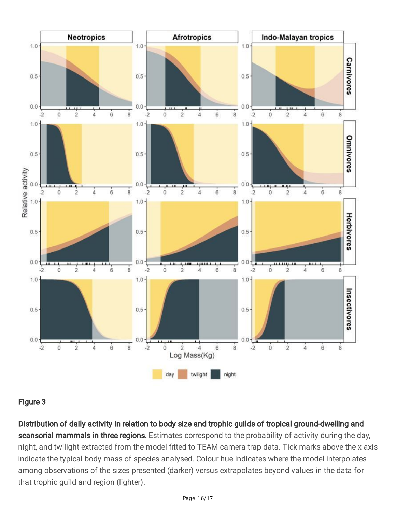

#### Figure 3

Distribution of daily activity in relation to body size and trophic guilds of tropical ground-dwelling and scansorial mammals in three regions. Estimates correspond to the probability of activity during the day, night, and twilight extracted from the model fitted to TEAM camera-trap data. Tick marks above the x-axis indicate the typical body mass of species analysed. Colour hue indicates where the model interpolates among observations of the sizes presented (darker) versus extrapolates beyond values in the data for that trophic guild and region (lighter).